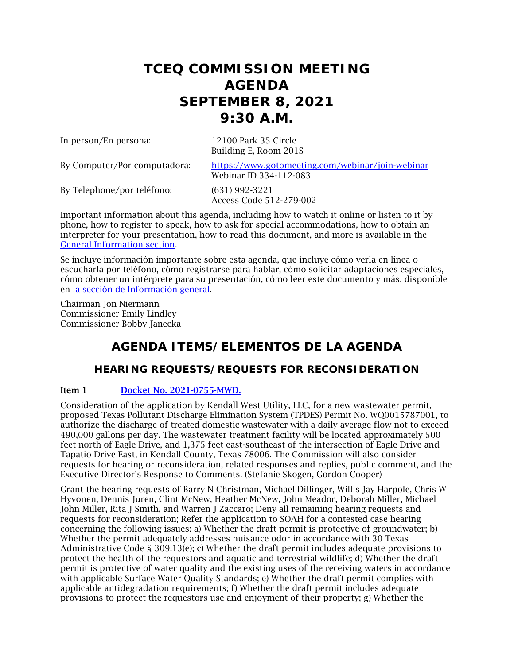# **TCEQ COMMISSION MEETING AGENDA SEPTEMBER 8, 2021 9:30 A.M.**

In person/En persona: 12100 Park 35 Circle

Building E, Room 201S

By Computer/Por computadora: <https://www.gotomeeting.com/webinar/join-webinar> Webinar ID 334-112-083

By Telephone/por teléfono: (631) 992-3221

Access Code 512-279-002

Important information about this agenda, including how to watch it online or listen to it by phone, how to register to speak, how to ask for special accommodations, how to obtain an interpreter for your presentation, how to read this document, and more is available in the [General Information section.](#page-9-0)

Se incluye información importante sobre esta agenda, que incluye cómo verla en línea o escucharla por teléfono, cómo registrarse para hablar, cómo solicitar adaptaciones especiales, cómo obtener un intérprete para su presentación, cómo leer este documento y más. disponible en [la sección de Información general.](#page-9-0)

Chairman Jon Niermann Commissioner Emily Lindley Commissioner Bobby Janecka

# **AGENDA ITEMS/ELEMENTOS DE LA AGENDA**

# **HEARING REQUESTS/REQUESTS FOR RECONSIDERATION**

### Item 1 [Docket No. 2021-0755-MWD.](http://www.tceq.texas.gov/assets/public/comm_exec/agendas/comm/backup/Agendas/2021/09-08-2021/kendall.pdf)

Consideration of the application by Kendall West Utility, LLC, for a new wastewater permit, proposed Texas Pollutant Discharge Elimination System (TPDES) Permit No. WQ0015787001, to authorize the discharge of treated domestic wastewater with a daily average flow not to exceed 490,000 gallons per day. The wastewater treatment facility will be located approximately 500 feet north of Eagle Drive, and 1,375 feet east-southeast of the intersection of Eagle Drive and Tapatio Drive East, in Kendall County, Texas 78006. The Commission will also consider requests for hearing or reconsideration, related responses and replies, public comment, and the Executive Director's Response to Comments. (Stefanie Skogen, Gordon Cooper)

Grant the hearing requests of Barry N Christman, Michael Dillinger, Willis Jay Harpole, Chris W Hyvonen, Dennis Juren, Clint McNew, Heather McNew, John Meador, Deborah Miller, Michael John Miller, Rita J Smith, and Warren J Zaccaro; Deny all remaining hearing requests and requests for reconsideration; Refer the application to SOAH for a contested case hearing concerning the following issues: a) Whether the draft permit is protective of groundwater; b) Whether the permit adequately addresses nuisance odor in accordance with 30 Texas Administrative Code § 309.13(e); c) Whether the draft permit includes adequate provisions to protect the health of the requestors and aquatic and terrestrial wildlife; d) Whether the draft permit is protective of water quality and the existing uses of the receiving waters in accordance with applicable Surface Water Quality Standards; e) Whether the draft permit complies with applicable antidegradation requirements; f) Whether the draft permit includes adequate provisions to protect the requestors use and enjoyment of their property; g) Whether the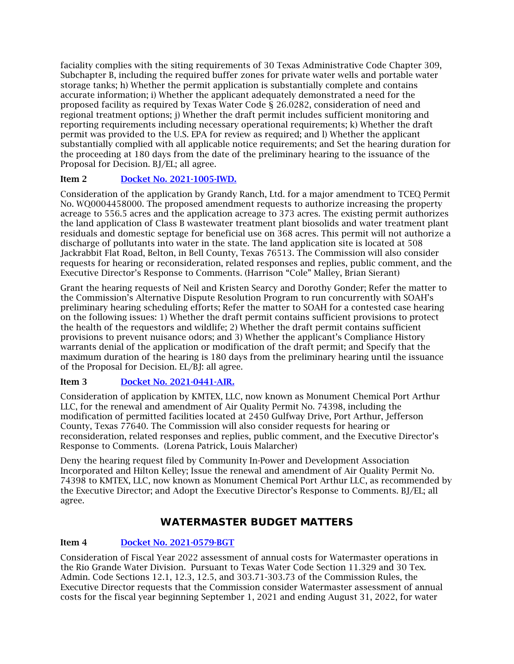faciality complies with the siting requirements of 30 Texas Administrative Code Chapter 309, Subchapter B, including the required buffer zones for private water wells and portable water storage tanks; h) Whether the permit application is substantially complete and contains accurate information; i) Whether the applicant adequately demonstrated a need for the proposed facility as required by Texas Water Code § 26.0282, consideration of need and regional treatment options; j) Whether the draft permit includes sufficient monitoring and reporting requirements including necessary operational requirements; k) Whether the draft permit was provided to the U.S. EPA for review as required; and l) Whether the applicant substantially complied with all applicable notice requirements; and Set the hearing duration for the proceeding at 180 days from the date of the preliminary hearing to the issuance of the Proposal for Decision. BJ/EL; all agree.

### Item 2 [Docket No. 2021-1005-IWD.](http://www.tceq.texas.gov/assets/public/comm_exec/agendas/comm/backup/Agendas/2021/09-08-2021/grandy.pdf)

Consideration of the application by Grandy Ranch, Ltd. for a major amendment to TCEQ Permit No. WQ0004458000. The proposed amendment requests to authorize increasing the property acreage to 556.5 acres and the application acreage to 373 acres. The existing permit authorizes the land application of Class B wastewater treatment plant biosolids and water treatment plant residuals and domestic septage for beneficial use on 368 acres. This permit will not authorize a discharge of pollutants into water in the state. The land application site is located at 508 Jackrabbit Flat Road, Belton, in Bell County, Texas 76513. The Commission will also consider requests for hearing or reconsideration, related responses and replies, public comment, and the Executive Director's Response to Comments. (Harrison "Cole" Malley, Brian Sierant)

Grant the hearing requests of Neil and Kristen Searcy and Dorothy Gonder; Refer the matter to the Commission's Alternative Dispute Resolution Program to run concurrently with SOAH's preliminary hearing scheduling efforts; Refer the matter to SOAH for a contested case hearing on the following issues: 1) Whether the draft permit contains sufficient provisions to protect the health of the requestors and wildlife; 2) Whether the draft permit contains sufficient provisions to prevent nuisance odors; and 3) Whether the applicant's Compliance History warrants denial of the application or modification of the draft permit; and Specify that the maximum duration of the hearing is 180 days from the preliminary hearing until the issuance of the Proposal for Decision. EL/BJ: all agree.

### Item 3 [Docket No. 2021-0441-AIR.](http://www.tceq.texas.gov/assets/public/comm_exec/agendas/comm/backup/Agendas/2021/09-08-2021/kmtex.pdf)

Consideration of application by KMTEX, LLC, now known as Monument Chemical Port Arthur LLC, for the renewal and amendment of Air Quality Permit No. 74398, including the modification of permitted facilities located at 2450 Gulfway Drive, Port Arthur, Jefferson County, Texas 77640. The Commission will also consider requests for hearing or reconsideration, related responses and replies, public comment, and the Executive Director's Response to Comments. (Lorena Patrick, Louis Malarcher)

Deny the hearing request filed by Community In-Power and Development Association Incorporated and Hilton Kelley; Issue the renewal and amendment of Air Quality Permit No. 74398 to KMTEX, LLC, now known as Monument Chemical Port Arthur LLC, as recommended by the Executive Director; and Adopt the Executive Director's Response to Comments. BJ/EL; all agree.

## **WATERMASTER BUDGET MATTERS**

### Item 4 [Docket No. 2021-0579-BGT](http://www.tceq.texas.gov/assets/public/comm_exec/agendas/comm/backup/Agendas/2021/09-08-2021/0579BGT.pdf)

Consideration of Fiscal Year 2022 assessment of annual costs for Watermaster operations in the Rio Grande Water Division. Pursuant to Texas Water Code Section 11.329 and 30 Tex. Admin. Code Sections 12.1, 12.3, 12.5, and 303.71-303.73 of the Commission Rules, the Executive Director requests that the Commission consider Watermaster assessment of annual costs for the fiscal year beginning September 1, 2021 and ending August 31, 2022, for water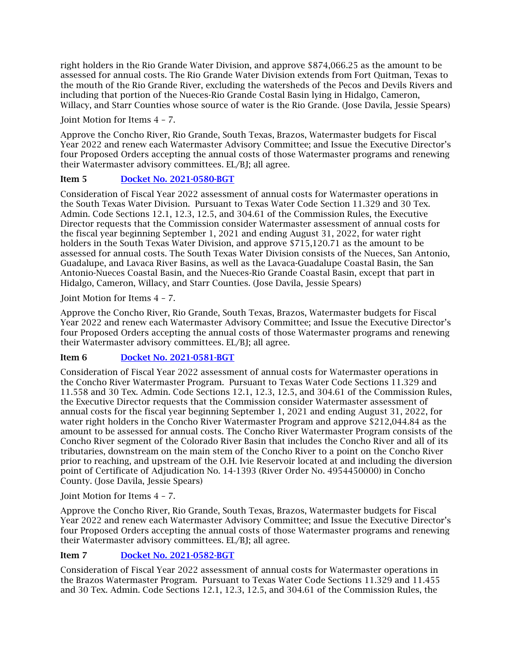right holders in the Rio Grande Water Division, and approve \$874,066.25 as the amount to be assessed for annual costs. The Rio Grande Water Division extends from Fort Quitman, Texas to the mouth of the Rio Grande River, excluding the watersheds of the Pecos and Devils Rivers and including that portion of the Nueces-Rio Grande Costal Basin lying in Hidalgo, Cameron, Willacy, and Starr Counties whose source of water is the Rio Grande. (Jose Davila, Jessie Spears)

Joint Motion for Items 4 – 7.

Approve the Concho River, Rio Grande, South Texas, Brazos, Watermaster budgets for Fiscal Year 2022 and renew each Watermaster Advisory Committee; and Issue the Executive Director's four Proposed Orders accepting the annual costs of those Watermaster programs and renewing their Watermaster advisory committees. EL/BJ; all agree.

### Item 5 [Docket No. 2021-0580-BGT](http://www.tceq.texas.gov/assets/public/comm_exec/agendas/comm/backup/Agendas/2021/09-08-2021/0580BGT.pdf)

Consideration of Fiscal Year 2022 assessment of annual costs for Watermaster operations in the South Texas Water Division. Pursuant to Texas Water Code Section 11.329 and 30 Tex. Admin. Code Sections 12.1, 12.3, 12.5, and 304.61 of the Commission Rules, the Executive Director requests that the Commission consider Watermaster assessment of annual costs for the fiscal year beginning September 1, 2021 and ending August 31, 2022, for water right holders in the South Texas Water Division, and approve \$715,120.71 as the amount to be assessed for annual costs. The South Texas Water Division consists of the Nueces, San Antonio, Guadalupe, and Lavaca River Basins, as well as the Lavaca-Guadalupe Coastal Basin, the San Antonio-Nueces Coastal Basin, and the Nueces-Rio Grande Coastal Basin, except that part in Hidalgo, Cameron, Willacy, and Starr Counties. (Jose Davila, Jessie Spears)

#### Joint Motion for Items 4 – 7.

Approve the Concho River, Rio Grande, South Texas, Brazos, Watermaster budgets for Fiscal Year 2022 and renew each Watermaster Advisory Committee; and Issue the Executive Director's four Proposed Orders accepting the annual costs of those Watermaster programs and renewing their Watermaster advisory committees. EL/BJ; all agree.

### Item 6 [Docket No. 2021-0581-BGT](http://www.tceq.texas.gov/assets/public/comm_exec/agendas/comm/backup/Agendas/2021/09-08-2021/0581BGT.pdf)

Consideration of Fiscal Year 2022 assessment of annual costs for Watermaster operations in the Concho River Watermaster Program. Pursuant to Texas Water Code Sections 11.329 and 11.558 and 30 Tex. Admin. Code Sections 12.1, 12.3, 12.5, and 304.61 of the Commission Rules, the Executive Director requests that the Commission consider Watermaster assessment of annual costs for the fiscal year beginning September 1, 2021 and ending August 31, 2022, for water right holders in the Concho River Watermaster Program and approve \$212,044.84 as the amount to be assessed for annual costs. The Concho River Watermaster Program consists of the Concho River segment of the Colorado River Basin that includes the Concho River and all of its tributaries, downstream on the main stem of the Concho River to a point on the Concho River prior to reaching, and upstream of the O.H. Ivie Reservoir located at and including the diversion point of Certificate of Adjudication No. 14-1393 (River Order No. 4954450000) in Concho County. (Jose Davila, Jessie Spears)

Joint Motion for Items 4 – 7.

Approve the Concho River, Rio Grande, South Texas, Brazos, Watermaster budgets for Fiscal Year 2022 and renew each Watermaster Advisory Committee; and Issue the Executive Director's four Proposed Orders accepting the annual costs of those Watermaster programs and renewing their Watermaster advisory committees. EL/BJ; all agree.

### Item 7 [Docket No. 2021-0582-BGT](http://www.tceq.texas.gov/assets/public/comm_exec/agendas/comm/backup/Agendas/2021/09-08-2021/0582BGT.pdf)

Consideration of Fiscal Year 2022 assessment of annual costs for Watermaster operations in the Brazos Watermaster Program. Pursuant to Texas Water Code Sections 11.329 and 11.455 and 30 Tex. Admin. Code Sections 12.1, 12.3, 12.5, and 304.61 of the Commission Rules, the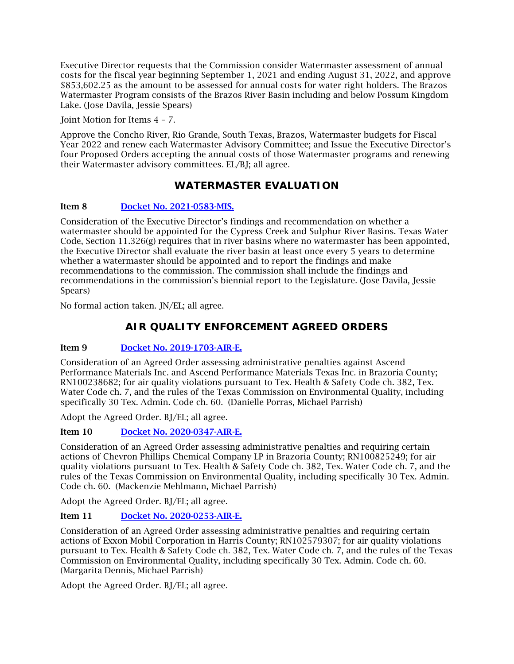Executive Director requests that the Commission consider Watermaster assessment of annual costs for the fiscal year beginning September 1, 2021 and ending August 31, 2022, and approve \$853,602.25 as the amount to be assessed for annual costs for water right holders. The Brazos Watermaster Program consists of the Brazos River Basin including and below Possum Kingdom Lake. (Jose Davila, Jessie Spears)

Joint Motion for Items 4 – 7.

Approve the Concho River, Rio Grande, South Texas, Brazos, Watermaster budgets for Fiscal Year 2022 and renew each Watermaster Advisory Committee; and Issue the Executive Director's four Proposed Orders accepting the annual costs of those Watermaster programs and renewing their Watermaster advisory committees. EL/BJ; all agree.

## **WATERMASTER EVALUATION**

### Item 8 [Docket No. 2021-0583-MIS.](http://www.tceq.texas.gov/assets/public/comm_exec/agendas/comm/backup/Agendas/2021/09-08-2021/0583MIS.pdf)

Consideration of the Executive Director's findings and recommendation on whether a watermaster should be appointed for the Cypress Creek and Sulphur River Basins. Texas Water Code, Section 11.326(g) requires that in river basins where no watermaster has been appointed, the Executive Director shall evaluate the river basin at least once every 5 years to determine whether a watermaster should be appointed and to report the findings and make recommendations to the commission. The commission shall include the findings and recommendations in the commission's biennial report to the Legislature. (Jose Davila, Jessie Spears)

No formal action taken. JN/EL; all agree.

# **AIR QUALITY ENFORCEMENT AGREED ORDERS**

### Item 9 [Docket No. 2019-1703-AIR-E.](http://www.tceq.texas.gov/assets/public/comm_exec/agendas/comm/backup/Agendas/2021/09-08-2021/1703AIR.pdf)

Consideration of an Agreed Order assessing administrative penalties against Ascend Performance Materials Inc. and Ascend Performance Materials Texas Inc. in Brazoria County; RN100238682; for air quality violations pursuant to Tex. Health & Safety Code ch. 382, Tex. Water Code ch. 7, and the rules of the Texas Commission on Environmental Quality, including specifically 30 Tex. Admin. Code ch. 60. (Danielle Porras, Michael Parrish)

Adopt the Agreed Order. BJ/EL; all agree.

### Item 10 [Docket No. 2020-0347-AIR-E.](http://www.tceq.texas.gov/assets/public/comm_exec/agendas/comm/backup/Agendas/2021/09-08-2021/0347AIR.pdf)

Consideration of an Agreed Order assessing administrative penalties and requiring certain actions of Chevron Phillips Chemical Company LP in Brazoria County; RN100825249; for air quality violations pursuant to Tex. Health & Safety Code ch. 382, Tex. Water Code ch. 7, and the rules of the Texas Commission on Environmental Quality, including specifically 30 Tex. Admin. Code ch. 60. (Mackenzie Mehlmann, Michael Parrish)

Adopt the Agreed Order. BJ/EL; all agree.

### Item 11 [Docket No. 2020-0253-AIR-E.](http://www.tceq.texas.gov/assets/public/comm_exec/agendas/comm/backup/Agendas/2021/09-08-2021/0253AIR.pdf)

Consideration of an Agreed Order assessing administrative penalties and requiring certain actions of Exxon Mobil Corporation in Harris County; RN102579307; for air quality violations pursuant to Tex. Health & Safety Code ch. 382, Tex. Water Code ch. 7, and the rules of the Texas Commission on Environmental Quality, including specifically 30 Tex. Admin. Code ch. 60. (Margarita Dennis, Michael Parrish)

Adopt the Agreed Order. BJ/EL; all agree.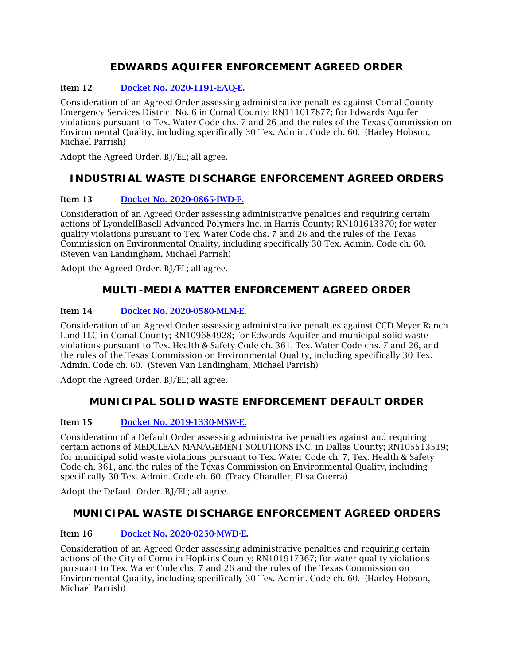# **EDWARDS AQUIFER ENFORCEMENT AGREED ORDER**

## Item 12 [Docket No. 2020-1191-EAQ-E.](http://www.tceq.texas.gov/assets/public/comm_exec/agendas/comm/backup/Agendas/2021/09-08-2021/1191EAQ.pdf)

Consideration of an Agreed Order assessing administrative penalties against Comal County Emergency Services District No. 6 in Comal County; RN111017877; for Edwards Aquifer violations pursuant to Tex. Water Code chs. 7 and 26 and the rules of the Texas Commission on Environmental Quality, including specifically 30 Tex. Admin. Code ch. 60. (Harley Hobson, Michael Parrish)

Adopt the Agreed Order. BJ/EL; all agree.

# **INDUSTRIAL WASTE DISCHARGE ENFORCEMENT AGREED ORDERS**

### Item 13 [Docket No. 2020-0865-IWD-E.](http://www.tceq.texas.gov/assets/public/comm_exec/agendas/comm/backup/Agendas/2021/09-08-2021/0865IWD.pdf)

Consideration of an Agreed Order assessing administrative penalties and requiring certain actions of LyondellBasell Advanced Polymers Inc. in Harris County; RN101613370; for water quality violations pursuant to Tex. Water Code chs. 7 and 26 and the rules of the Texas Commission on Environmental Quality, including specifically 30 Tex. Admin. Code ch. 60. (Steven Van Landingham, Michael Parrish)

Adopt the Agreed Order. BJ/EL; all agree.

# **MULTI-MEDIA MATTER ENFORCEMENT AGREED ORDER**

### Item 14 [Docket No. 2020-0580-MLM-E.](http://www.tceq.texas.gov/assets/public/comm_exec/agendas/comm/backup/Agendas/2021/09-08-2021/0580MLM.pdf)

Consideration of an Agreed Order assessing administrative penalties against CCD Meyer Ranch Land LLC in Comal County; RN109684928; for Edwards Aquifer and municipal solid waste violations pursuant to Tex. Health & Safety Code ch. 361, Tex. Water Code chs. 7 and 26, and the rules of the Texas Commission on Environmental Quality, including specifically 30 Tex. Admin. Code ch. 60. (Steven Van Landingham, Michael Parrish)

Adopt the Agreed Order. BJ/EL; all agree.

## **MUNICIPAL SOLID WASTE ENFORCEMENT DEFAULT ORDER**

### Item 15 [Docket No. 2019-1330-MSW-E.](http://www.tceq.texas.gov/assets/public/comm_exec/agendas/comm/backup/Agendas/2021/09-08-2021/1330MSW.pdf)

Consideration of a Default Order assessing administrative penalties against and requiring certain actions of MEDCLEAN MANAGEMENT SOLUTIONS INC. in Dallas County; RN105513519; for municipal solid waste violations pursuant to Tex. Water Code ch. 7, Tex. Health & Safety Code ch. 361, and the rules of the Texas Commission on Environmental Quality, including specifically 30 Tex. Admin. Code ch. 60. (Tracy Chandler, Elisa Guerra)

Adopt the Default Order. BJ/EL; all agree.

## **MUNICIPAL WASTE DISCHARGE ENFORCEMENT AGREED ORDERS**

### Item 16 [Docket No. 2020-0250-MWD-E.](http://www.tceq.texas.gov/assets/public/comm_exec/agendas/comm/backup/Agendas/2021/09-08-2021/0250MWD.pdf)

Consideration of an Agreed Order assessing administrative penalties and requiring certain actions of the City of Como in Hopkins County; RN101917367; for water quality violations pursuant to Tex. Water Code chs. 7 and 26 and the rules of the Texas Commission on Environmental Quality, including specifically 30 Tex. Admin. Code ch. 60. (Harley Hobson, Michael Parrish)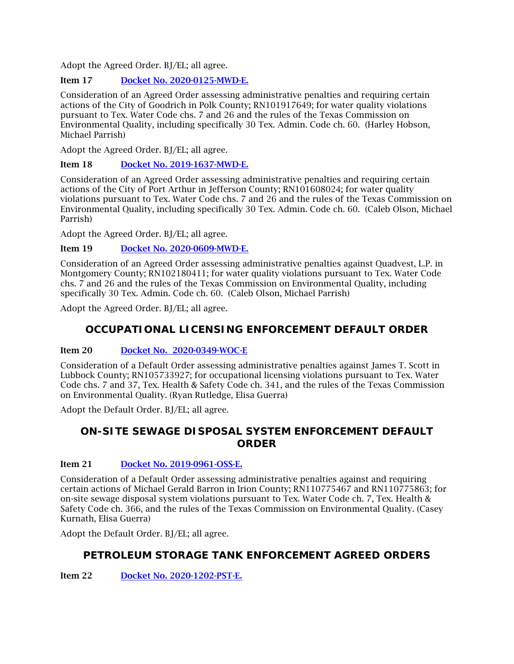Adopt the Agreed Order. BJ/EL; all agree.

### Item 17 [Docket No. 2020-0125-MWD-E.](http://www.tceq.texas.gov/assets/public/comm_exec/agendas/comm/backup/Agendas/2021/09-08-2021/0125MWD.pdf)

Consideration of an Agreed Order assessing administrative penalties and requiring certain actions of the City of Goodrich in Polk County; RN101917649; for water quality violations pursuant to Tex. Water Code chs. 7 and 26 and the rules of the Texas Commission on Environmental Quality, including specifically 30 Tex. Admin. Code ch. 60. (Harley Hobson, Michael Parrish)

Adopt the Agreed Order. BJ/EL; all agree.

### Item 18 [Docket No. 2019-1637-MWD-E.](http://www.tceq.texas.gov/assets/public/comm_exec/agendas/comm/backup/Agendas/2021/09-08-2021/1637MWD.pdf)

Consideration of an Agreed Order assessing administrative penalties and requiring certain actions of the City of Port Arthur in Jefferson County; RN101608024; for water quality violations pursuant to Tex. Water Code chs. 7 and 26 and the rules of the Texas Commission on Environmental Quality, including specifically 30 Tex. Admin. Code ch. 60. (Caleb Olson, Michael Parrish)

Adopt the Agreed Order. BJ/EL; all agree.

### Item 19 [Docket No. 2020-0609-MWD-E.](http://www.tceq.texas.gov/assets/public/comm_exec/agendas/comm/backup/Agendas/2021/09-08-2021/0609MWD.pdf)

Consideration of an Agreed Order assessing administrative penalties against Quadvest, L.P. in Montgomery County; RN102180411; for water quality violations pursuant to Tex. Water Code chs. 7 and 26 and the rules of the Texas Commission on Environmental Quality, including specifically 30 Tex. Admin. Code ch. 60. (Caleb Olson, Michael Parrish)

Adopt the Agreed Order. BJ/EL; all agree.

# **OCCUPATIONAL LICENSING ENFORCEMENT DEFAULT ORDER**

### Item 20 [Docket No. 2020-0349-WOC-E](http://www.tceq.texas.gov/assets/public/comm_exec/agendas/comm/backup/Agendas/2021/09-08-2021/0349WOC.pdf)

Consideration of a Default Order assessing administrative penalties against James T. Scott in Lubbock County; RN105733927; for occupational licensing violations pursuant to Tex. Water Code chs. 7 and 37, Tex. Health & Safety Code ch. 341, and the rules of the Texas Commission on Environmental Quality. (Ryan Rutledge, Elisa Guerra)

Adopt the Default Order. BJ/EL; all agree.

## **ON-SITE SEWAGE DISPOSAL SYSTEM ENFORCEMENT DEFAULT ORDER**

### Item 21 [Docket No. 2019-0961-OSS-E.](http://www.tceq.texas.gov/assets/public/comm_exec/agendas/comm/backup/Agendas/2021/09-08-2021/0961OSS.pdf)

Consideration of a Default Order assessing administrative penalties against and requiring certain actions of Michael Gerald Barron in Irion County; RN110775467 and RN110775863; for on-site sewage disposal system violations pursuant to Tex. Water Code ch. 7, Tex. Health & Safety Code ch. 366, and the rules of the Texas Commission on Environmental Quality. (Casey Kurnath, Elisa Guerra)

Adopt the Default Order. BJ/EL; all agree.

## **PETROLEUM STORAGE TANK ENFORCEMENT AGREED ORDERS**

Item 22 [Docket No. 2020-1202-PST-E.](http://www.tceq.texas.gov/assets/public/comm_exec/agendas/comm/backup/Agendas/2021/09-08-2021/1202PST.pdf)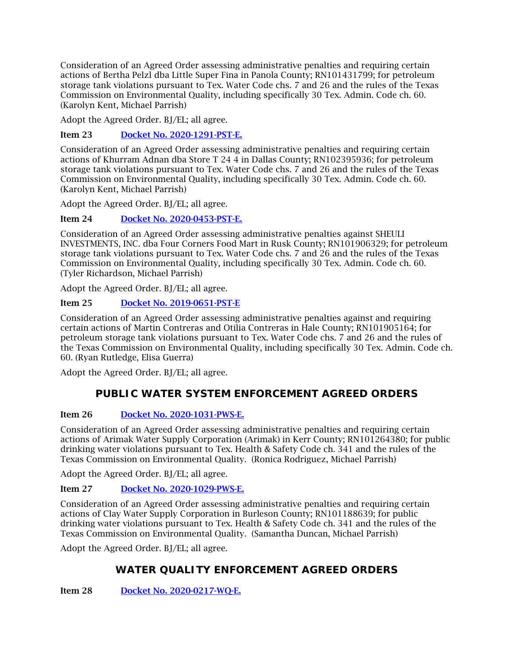Consideration of an Agreed Order assessing administrative penalties and requiring certain actions of Bertha Pelzl dba Little Super Fina in Panola County; RN101431799; for petroleum storage tank violations pursuant to Tex. Water Code chs. 7 and 26 and the rules of the Texas Commission on Environmental Quality, including specifically 30 Tex. Admin. Code ch. 60. (Karolyn Kent, Michael Parrish)

Adopt the Agreed Order. BJ/EL; all agree.

Item 23 [Docket No. 2020-1291-PST-E.](http://www.tceq.texas.gov/assets/public/comm_exec/agendas/comm/backup/Agendas/2021/09-08-2021/1291PST.pdf)

Consideration of an Agreed Order assessing administrative penalties and requiring certain actions of Khurram Adnan dba Store T 24 4 in Dallas County; RN102395936; for petroleum storage tank violations pursuant to Tex. Water Code chs. 7 and 26 and the rules of the Texas Commission on Environmental Quality, including specifically 30 Tex. Admin. Code ch. 60. (Karolyn Kent, Michael Parrish)

Adopt the Agreed Order. BJ/EL; all agree.

Item 24 [Docket No. 2020-0453-PST-E.](http://www.tceq.texas.gov/assets/public/comm_exec/agendas/comm/backup/Agendas/2021/09-08-2021/0453PST.pdf)

Consideration of an Agreed Order assessing administrative penalties against SHEULI INVESTMENTS, INC. dba Four Corners Food Mart in Rusk County; RN101906329; for petroleum storage tank violations pursuant to Tex. Water Code chs. 7 and 26 and the rules of the Texas Commission on Environmental Quality, including specifically 30 Tex. Admin. Code ch. 60. (Tyler Richardson, Michael Parrish)

Adopt the Agreed Order. BJ/EL; all agree.

### Item 25 [Docket No. 2019-0651-PST-E](http://www.tceq.texas.gov/assets/public/comm_exec/agendas/comm/backup/Agendas/2021/09-08-2021/0651PST.pdf)

Consideration of an Agreed Order assessing administrative penalties against and requiring certain actions of Martin Contreras and Otilia Contreras in Hale County; RN101905164; for petroleum storage tank violations pursuant to Tex. Water Code chs. 7 and 26 and the rules of the Texas Commission on Environmental Quality, including specifically 30 Tex. Admin. Code ch. 60. (Ryan Rutledge, Elisa Guerra)

Adopt the Agreed Order. BJ/EL; all agree.

## **PUBLIC WATER SYSTEM ENFORCEMENT AGREED ORDERS**

### Item 26 [Docket No. 2020-1031-PWS-E.](http://www.tceq.texas.gov/assets/public/comm_exec/agendas/comm/backup/Agendas/2021/09-08-2021/1031PWS.pdf)

Consideration of an Agreed Order assessing administrative penalties and requiring certain actions of Arimak Water Supply Corporation (Arimak) in Kerr County; RN101264380; for public drinking water violations pursuant to Tex. Health & Safety Code ch. 341 and the rules of the Texas Commission on Environmental Quality. (Ronica Rodriguez, Michael Parrish)

Adopt the Agreed Order. BJ/EL; all agree.

### Item 27 [Docket No. 2020-1029-PWS-E.](http://www.tceq.texas.gov/assets/public/comm_exec/agendas/comm/backup/Agendas/2021/09-08-2021/1029PWS.pdf)

Consideration of an Agreed Order assessing administrative penalties and requiring certain actions of Clay Water Supply Corporation in Burleson County; RN101188639; for public drinking water violations pursuant to Tex. Health & Safety Code ch. 341 and the rules of the Texas Commission on Environmental Quality. (Samantha Duncan, Michael Parrish)

Adopt the Agreed Order. BJ/EL; all agree.

# **WATER QUALITY ENFORCEMENT AGREED ORDERS**

Item 28 [Docket No. 2020-0217-WQ-E.](http://www.tceq.texas.gov/assets/public/comm_exec/agendas/comm/backup/Agendas/2021/09-08-2021/0217WQ.pdf)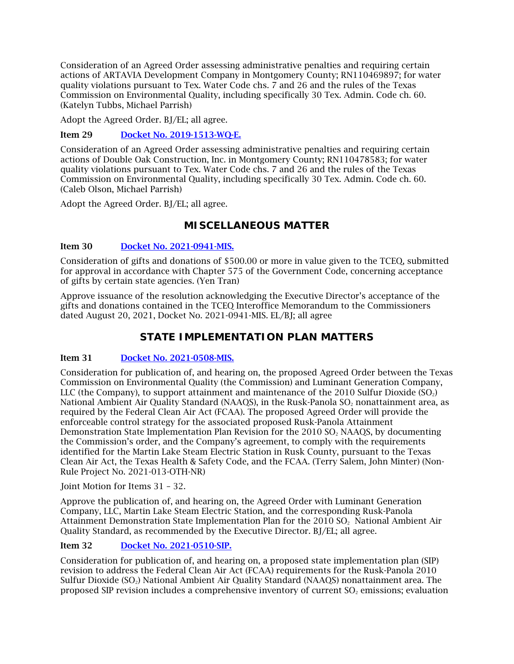Consideration of an Agreed Order assessing administrative penalties and requiring certain actions of ARTAVIA Development Company in Montgomery County; RN110469897; for water quality violations pursuant to Tex. Water Code chs. 7 and 26 and the rules of the Texas Commission on Environmental Quality, including specifically 30 Tex. Admin. Code ch. 60. (Katelyn Tubbs, Michael Parrish)

Adopt the Agreed Order. BJ/EL; all agree.

Item 29 [Docket No. 2019-1513-WQ-E.](http://www.tceq.texas.gov/assets/public/comm_exec/agendas/comm/backup/Agendas/2021/09-08-2021/1513WQ.pdf)

Consideration of an Agreed Order assessing administrative penalties and requiring certain actions of Double Oak Construction, Inc. in Montgomery County; RN110478583; for water quality violations pursuant to Tex. Water Code chs. 7 and 26 and the rules of the Texas Commission on Environmental Quality, including specifically 30 Tex. Admin. Code ch. 60. (Caleb Olson, Michael Parrish)

Adopt the Agreed Order. BJ/EL; all agree.

# **MISCELLANEOUS MATTER**

### Item 30 [Docket No. 2021-0941-MIS.](http://www.tceq.texas.gov/assets/public/comm_exec/agendas/comm/backup/Agendas/2021/09-08-2021/0941MIS.pdf)

Consideration of gifts and donations of \$500.00 or more in value given to the TCEQ, submitted for approval in accordance with Chapter 575 of the Government Code, concerning acceptance of gifts by certain state agencies. (Yen Tran)

Approve issuance of the resolution acknowledging the Executive Director's acceptance of the gifts and donations contained in the TCEQ Interoffice Memorandum to the Commissioners dated August 20, 2021, Docket No. 2021-0941-MIS. EL/BJ; all agree

## **STATE IMPLEMENTATION PLAN MATTERS**

### Item 31 [Docket No. 2021-0508-MIS.](http://www.tceq.texas.gov/assets/public/comm_exec/agendas/comm/backup/Agendas/2021/09-08-2021/0508MIS.pdf)

Consideration for publication of, and hearing on, the proposed Agreed Order between the Texas Commission on Environmental Quality (the Commission) and Luminant Generation Company, LLC (the Company), to support attainment and maintenance of the 2010 Sulfur Dioxide  $(SO<sub>2</sub>)$ National Ambient Air Quality Standard (NAAOS), in the Rusk-Panola SO<sub>2</sub> nonattainment area, as required by the Federal Clean Air Act (FCAA). The proposed Agreed Order will provide the enforceable control strategy for the associated proposed Rusk-Panola Attainment Demonstration State Implementation Plan Revision for the 2010 SO<sub>2</sub> NAAOS, by documenting the Commission's order, and the Company's agreement, to comply with the requirements identified for the Martin Lake Steam Electric Station in Rusk County, pursuant to the Texas Clean Air Act, the Texas Health & Safety Code, and the FCAA. (Terry Salem, John Minter) (Non-Rule Project No. 2021-013-OTH-NR)

Joint Motion for Items 31 – 32.

Approve the publication of, and hearing on, the Agreed Order with Luminant Generation Company, LLC, Martin Lake Steam Electric Station, and the corresponding Rusk-Panola Attainment Demonstration State Implementation Plan for the 2010 SO<sub>2</sub> National Ambient Air Quality Standard, as recommended by the Executive Director. BJ/EL; all agree.

### Item 32 [Docket No. 2021-0510-SIP.](http://www.tceq.texas.gov/assets/public/comm_exec/agendas/comm/backup/Agendas/2021/09-08-2021/0510SIP.pdf)

Consideration for publication of, and hearing on, a proposed state implementation plan (SIP) revision to address the Federal Clean Air Act (FCAA) requirements for the Rusk-Panola 2010 Sulfur Dioxide (SO2) National Ambient Air Quality Standard (NAAQS) nonattainment area. The proposed SIP revision includes a comprehensive inventory of current  $SO<sub>2</sub>$  emissions; evaluation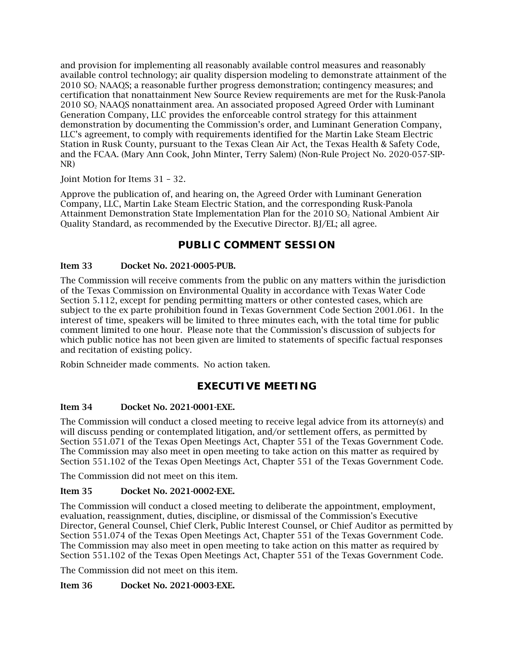and provision for implementing all reasonably available control measures and reasonably available control technology; air quality dispersion modeling to demonstrate attainment of the 2010 SO2 NAAQS; a reasonable further progress demonstration; contingency measures; and certification that nonattainment New Source Review requirements are met for the Rusk-Panola 2010 SO2 NAAQS nonattainment area. An associated proposed Agreed Order with Luminant Generation Company, LLC provides the enforceable control strategy for this attainment demonstration by documenting the Commission's order, and Luminant Generation Company, LLC's agreement, to comply with requirements identified for the Martin Lake Steam Electric Station in Rusk County, pursuant to the Texas Clean Air Act, the Texas Health & Safety Code, and the FCAA. (Mary Ann Cook, John Minter, Terry Salem) (Non-Rule Project No. 2020-057-SIP-NR)

#### Joint Motion for Items 31 – 32.

Approve the publication of, and hearing on, the Agreed Order with Luminant Generation Company, LLC, Martin Lake Steam Electric Station, and the corresponding Rusk-Panola Attainment Demonstration State Implementation Plan for the 2010 SO<sub>2</sub> National Ambient Air Quality Standard, as recommended by the Executive Director. BJ/EL; all agree.

### **PUBLIC COMMENT SESSION**

### Item 33 Docket No. 2021-0005-PUB.

The Commission will receive comments from the public on any matters within the jurisdiction of the Texas Commission on Environmental Quality in accordance with Texas Water Code Section 5.112, except for pending permitting matters or other contested cases, which are subject to the ex parte prohibition found in Texas Government Code Section 2001.061. In the interest of time, speakers will be limited to three minutes each, with the total time for public comment limited to one hour. Please note that the Commission's discussion of subjects for which public notice has not been given are limited to statements of specific factual responses and recitation of existing policy.

Robin Schneider made comments. No action taken.

## **EXECUTIVE MEETING**

### Item 34 Docket No. 2021-0001-EXE.

The Commission will conduct a closed meeting to receive legal advice from its attorney(s) and will discuss pending or contemplated litigation, and/or settlement offers, as permitted by Section 551.071 of the Texas Open Meetings Act, Chapter 551 of the Texas Government Code. The Commission may also meet in open meeting to take action on this matter as required by Section 551.102 of the Texas Open Meetings Act, Chapter 551 of the Texas Government Code.

The Commission did not meet on this item.

### Item 35 Docket No. 2021-0002-EXE.

The Commission will conduct a closed meeting to deliberate the appointment, employment, evaluation, reassignment, duties, discipline, or dismissal of the Commission's Executive Director, General Counsel, Chief Clerk, Public Interest Counsel, or Chief Auditor as permitted by Section 551.074 of the Texas Open Meetings Act, Chapter 551 of the Texas Government Code. The Commission may also meet in open meeting to take action on this matter as required by Section 551.102 of the Texas Open Meetings Act, Chapter 551 of the Texas Government Code.

The Commission did not meet on this item.

#### Item 36 Docket No. 2021-0003-EXE.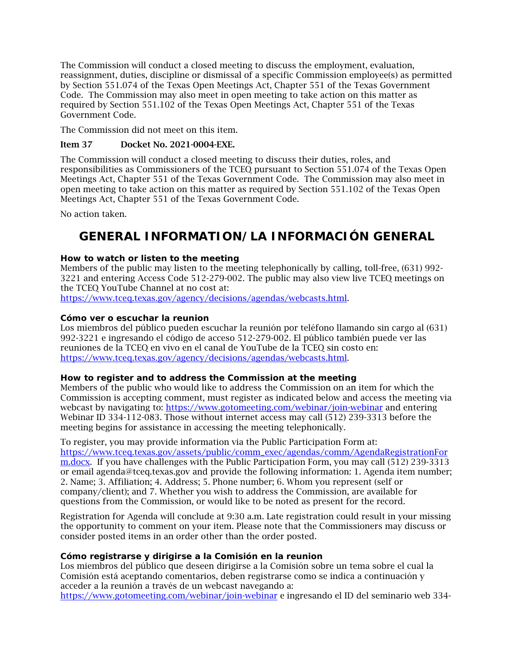The Commission will conduct a closed meeting to discuss the employment, evaluation, reassignment, duties, discipline or dismissal of a specific Commission employee(s) as permitted by Section 551.074 of the Texas Open Meetings Act, Chapter 551 of the Texas Government Code. The Commission may also meet in open meeting to take action on this matter as required by Section 551.102 of the Texas Open Meetings Act, Chapter 551 of the Texas Government Code.

The Commission did not meet on this item.

### Item 37 Docket No. 2021-0004-EXE.

The Commission will conduct a closed meeting to discuss their duties, roles, and responsibilities as Commissioners of the TCEQ pursuant to Section 551.074 of the Texas Open Meetings Act, Chapter 551 of the Texas Government Code. The Commission may also meet in open meeting to take action on this matter as required by Section 551.102 of the Texas Open Meetings Act, Chapter 551 of the Texas Government Code.

<span id="page-9-0"></span>No action taken.

# **GENERAL INFORMATION/LA INFORMACIÓN GENERAL**

### **How to watch or listen to the meeting**

Members of the public may listen to the meeting telephonically by calling, toll-free, (631) 992- 3221 and entering Access Code 512-279-002. The public may also view live TCEQ meetings on the TCEQ YouTube Channel at no cost at:

[https://www.tceq.texas.gov/agency/decisions/agendas/webcasts.html.](https://www.tceq.texas.gov/agency/decisions/agendas/webcasts.html)

### **Cómo ver o escuchar la reunion**

Los miembros del público pueden escuchar la reunión por teléfono llamando sin cargo al (631) 992-3221 e ingresando el código de acceso 512-279-002. El público también puede ver las reuniones de la TCEQ en vivo en el canal de YouTube de la TCEQ sin costo en: [https://www.tceq.texas.gov/agency/decisions/agendas/webcasts.html.](https://www.tceq.texas.gov/agency/decisions/agendas/webcasts.html)

### **How to register and to address the Commission at the meeting**

Members of the public who would like to address the Commission on an item for which the Commission is accepting comment, must register as indicated below and access the meeting via webcast by navigating to:<https://www.gotomeeting.com/webinar/join-webinar> and entering Webinar ID 334-112-083. Those without internet access may call (512) 239-3313 before the meeting begins for assistance in accessing the meeting telephonically.

#### To register, you may provide information via the Public Participation Form at:

[https://www.tceq.texas.gov/assets/public/comm\\_exec/agendas/comm/AgendaRegistrationFor](https://www.tceq.texas.gov/assets/public/comm_exec/agendas/comm/AgendaRegistrationForm.docx) [m.docx.](https://www.tceq.texas.gov/assets/public/comm_exec/agendas/comm/AgendaRegistrationForm.docx) If you have challenges with the Public Participation Form, you may call (512) 239-3313 or email agenda@tceq.texas.gov and provide the following information: 1. Agenda item number; 2. Name; 3. Affiliation; 4. Address; 5. Phone number; 6. Whom you represent (self or company/client); and 7. Whether you wish to address the Commission, are available for questions from the Commission, or would like to be noted as present for the record.

Registration for Agenda will conclude at 9:30 a.m. Late registration could result in your missing the opportunity to comment on your item. Please note that the Commissioners may discuss or consider posted items in an order other than the order posted.

### **Cómo registrarse y dirigirse a la Comisión en la reunion**

Los miembros del público que deseen dirigirse a la Comisión sobre un tema sobre el cual la Comisión está aceptando comentarios, deben registrarse como se indica a continuación y acceder a la reunión a través de un webcast navegando a:

<https://www.gotomeeting.com/webinar/join-webinar> e ingresando el ID del seminario web 334-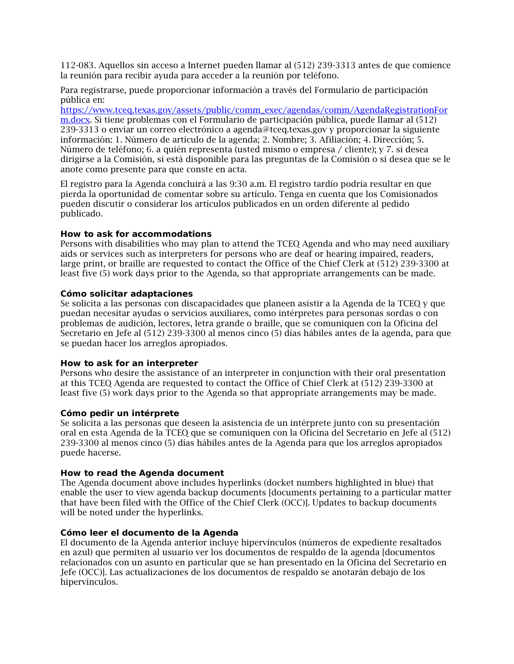112-083. Aquellos sin acceso a Internet pueden llamar al (512) 239-3313 antes de que comience la reunión para recibir ayuda para acceder a la reunión por teléfono.

Para registrarse, puede proporcionar información a través del Formulario de participación pública en:

[https://www.tceq.texas.gov/assets/public/comm\\_exec/agendas/comm/AgendaRegistrationFor](https://www.tceq.texas.gov/assets/public/comm_exec/agendas/comm/AgendaRegistrationForm.docx) [m.docx.](https://www.tceq.texas.gov/assets/public/comm_exec/agendas/comm/AgendaRegistrationForm.docx) Si tiene problemas con el Formulario de participación pública, puede llamar al (512) 239-3313 o enviar un correo electrónico a agenda@tceq.texas.gov y proporcionar la siguiente información: 1. Número de artículo de la agenda; 2. Nombre; 3. Afiliación; 4. Dirección; 5. Número de teléfono; 6. a quién representa (usted mismo o empresa / cliente); y 7. si desea dirigirse a la Comisión, si está disponible para las preguntas de la Comisión o si desea que se le anote como presente para que conste en acta.

El registro para la Agenda concluirá a las 9:30 a.m. El registro tardío podría resultar en que pierda la oportunidad de comentar sobre su artículo. Tenga en cuenta que los Comisionados pueden discutir o considerar los artículos publicados en un orden diferente al pedido publicado.

#### **How to ask for accommodations**

Persons with disabilities who may plan to attend the TCEQ Agenda and who may need auxiliary aids or services such as interpreters for persons who are deaf or hearing impaired, readers, large print, or braille are requested to contact the Office of the Chief Clerk at (512) 239-3300 at least five (5) work days prior to the Agenda, so that appropriate arrangements can be made.

#### **Cómo solicitar adaptaciones**

Se solicita a las personas con discapacidades que planeen asistir a la Agenda de la TCEQ y que puedan necesitar ayudas o servicios auxiliares, como intérpretes para personas sordas o con problemas de audición, lectores, letra grande o braille, que se comuniquen con la Oficina del Secretario en Jefe al (512) 239-3300 al menos cinco (5) días hábiles antes de la agenda, para que se puedan hacer los arreglos apropiados.

#### **How to ask for an interpreter**

Persons who desire the assistance of an interpreter in conjunction with their oral presentation at this TCEQ Agenda are requested to contact the Office of Chief Clerk at (512) 239-3300 at least five (5) work days prior to the Agenda so that appropriate arrangements may be made.

#### **Cómo pedir un intérprete**

Se solicita a las personas que deseen la asistencia de un intérprete junto con su presentación oral en esta Agenda de la TCEQ que se comuniquen con la Oficina del Secretario en Jefe al (512) 239-3300 al menos cinco (5) días hábiles antes de la Agenda para que los arreglos apropiados puede hacerse.

#### **How to read the Agenda document**

The Agenda document above includes hyperlinks (docket numbers highlighted in blue) that enable the user to view agenda backup documents [documents pertaining to a particular matter that have been filed with the Office of the Chief Clerk (OCC)]. Updates to backup documents will be noted under the hyperlinks.

#### **Cómo leer el documento de la Agenda**

El documento de la Agenda anterior incluye hipervínculos (números de expediente resaltados en azul) que permiten al usuario ver los documentos de respaldo de la agenda [documentos relacionados con un asunto en particular que se han presentado en la Oficina del Secretario en Jefe (OCC)]. Las actualizaciones de los documentos de respaldo se anotarán debajo de los hipervínculos.